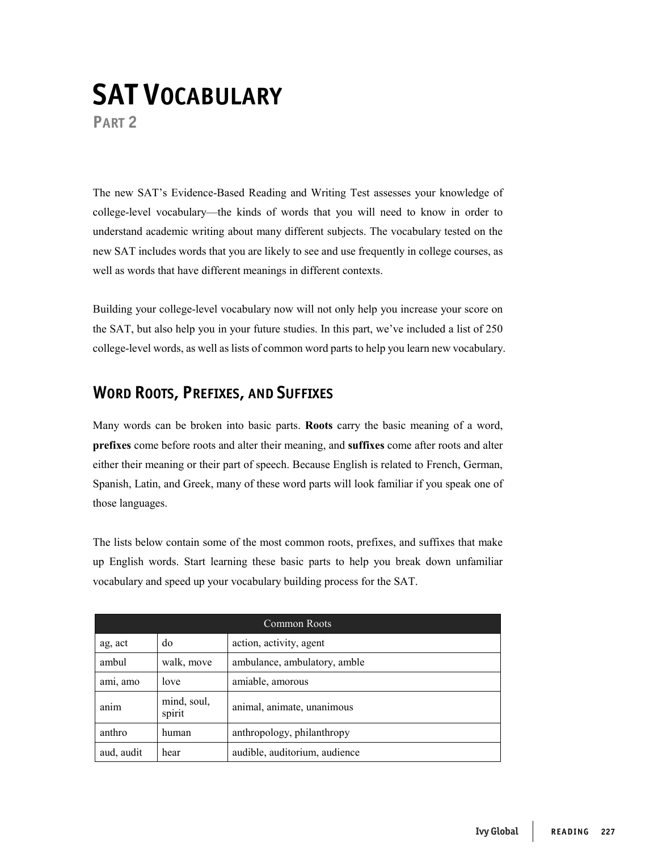## **SAT VOCABULARY**

**PART 2**

The new SAT's Evidence-Based Reading and Writing Test assesses your knowledge of college-level vocabulary—the kinds of words that you will need to know in order to understand academic writing about many different subjects. The vocabulary tested on the new SAT includes words that you are likely to see and use frequently in college courses, as well as words that have different meanings in different contexts.

Building your college-level vocabulary now will not only help you increase your score on the SAT, but also help you in your future studies. In this part, we've included a list of 250 college-level words, as well as lists of common word parts to help you learn new vocabulary.

## **WORD ROOTS, PREFIXES, AND SUFFIXES**

Many words can be broken into basic parts. **Roots** carry the basic meaning of a word, **prefixes** come before roots and alter their meaning, and **suffixes** come after roots and alter either their meaning or their part of speech. Because English is related to French, German, Spanish, Latin, and Greek, many of these word parts will look familiar if you speak one of those languages.

The lists below contain some of the most common roots, prefixes, and suffixes that make up English words. Start learning these basic parts to help you break down unfamiliar vocabulary and speed up your vocabulary building process for the SAT.

| <b>Common Roots</b> |                       |                               |
|---------------------|-----------------------|-------------------------------|
| ag, act             | do                    | action, activity, agent       |
| ambul               | walk, move            | ambulance, ambulatory, amble  |
| ami, amo            | love                  | amiable, amorous              |
| anım                | mind, soul,<br>spirit | animal, animate, unanimous    |
| anthro              | human                 | anthropology, philanthropy    |
| aud, audit          | hear                  | audible, auditorium, audience |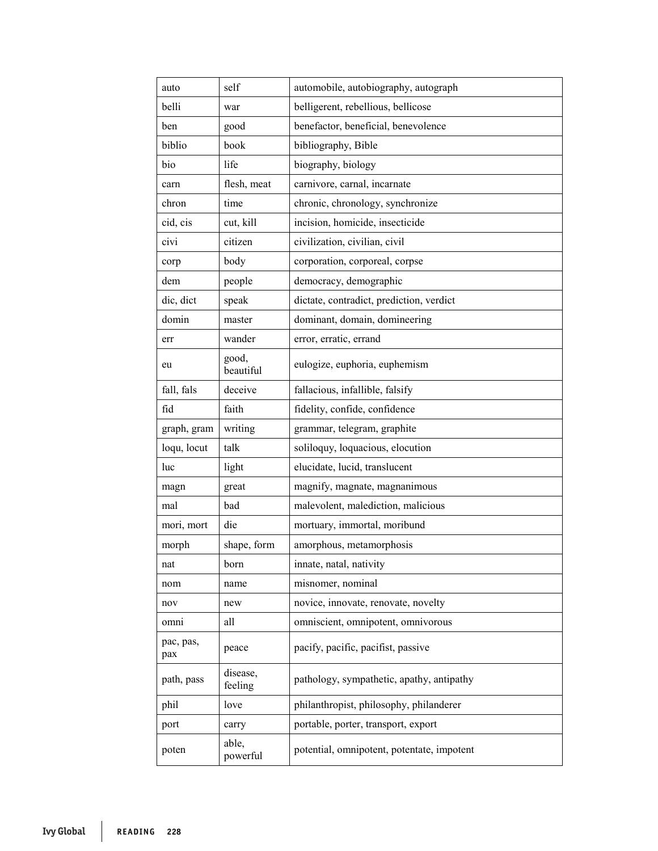| auto             | self                | automobile, autobiography, autograph       |
|------------------|---------------------|--------------------------------------------|
| belli            | war                 | belligerent, rebellious, bellicose         |
| ben              | good                | benefactor, beneficial, benevolence        |
| biblio           | book                | bibliography, Bible                        |
| bio              | life                | biography, biology                         |
| carn             | flesh, meat         | carnivore, carnal, incarnate               |
| chron            | time                | chronic, chronology, synchronize           |
| cid, cis         | cut, kill           | incision, homicide, insecticide            |
| civi             | citizen             | civilization, civilian, civil              |
| corp             | body                | corporation, corporeal, corpse             |
| dem              | people              | democracy, demographic                     |
| dic, dict        | speak               | dictate, contradict, prediction, verdict   |
| domin            | master              | dominant, domain, domineering              |
| err              | wander              | error, erratic, errand                     |
| eu               | good,<br>beautiful  | eulogize, euphoria, euphemism              |
| fall, fals       | deceive             | fallacious, infallible, falsify            |
| fid              | faith               | fidelity, confide, confidence              |
| graph, gram      | writing             | grammar, telegram, graphite                |
| loqu, locut      | talk                | soliloquy, loquacious, elocution           |
| luc              | light               | elucidate, lucid, translucent              |
| magn             | great               | magnify, magnate, magnanimous              |
| mal              | bad                 | malevolent, malediction, malicious         |
| mori, mort       | die                 | mortuary, immortal, moribund               |
| morph            | shape, form         | amorphous, metamorphosis                   |
| nat              | born                | innate, natal, nativity                    |
| nom              | name                | misnomer, nominal                          |
| nov              | new                 | novice, innovate, renovate, novelty        |
| omni             | all                 | omniscient, omnipotent, omnivorous         |
| pac, pas,<br>pax | peace               | pacify, pacific, pacifist, passive         |
| path, pass       | disease,<br>feeling | pathology, sympathetic, apathy, antipathy  |
| phil             | love                | philanthropist, philosophy, philanderer    |
| port             | carry               | portable, porter, transport, export        |
| poten            | able,<br>powerful   | potential, omnipotent, potentate, impotent |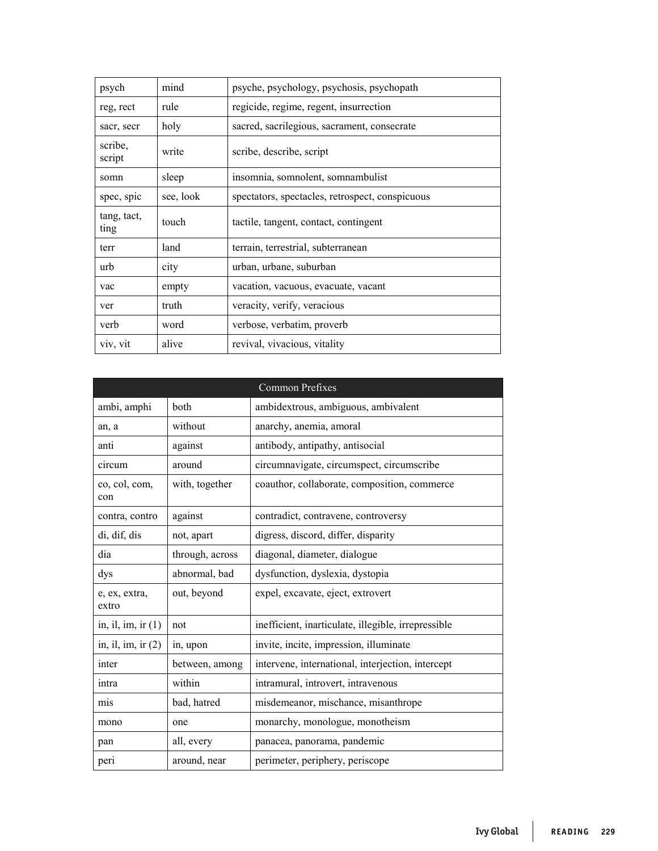| psych               | mind      | psyche, psychology, psychosis, psychopath       |
|---------------------|-----------|-------------------------------------------------|
| reg, rect           | rule      | regicide, regime, regent, insurrection          |
| sacr, secr          | holy      | sacred, sacrilegious, sacrament, consecrate     |
| scribe,<br>script   | write     | scribe, describe, script                        |
| somn                | sleep     | insomnia, somnolent, somnambulist               |
| spec, spic          | see, look | spectators, spectacles, retrospect, conspicuous |
| tang, tact,<br>ting | touch     | tactile, tangent, contact, contingent           |
| terr                | land      | terrain, terrestrial, subterranean              |
| urb                 | city      | urban, urbane, suburban                         |
| vac                 | empty     | vacation, vacuous, evacuate, vacant             |
| ver                 | truth     | veracity, verify, veracious                     |
| verb                | word      | verbose, verbatim, proverb                      |
| viv, vit            | alive     | revival, vivacious, vitality                    |

|                        |                 | <b>Common Prefixes</b>                              |
|------------------------|-----------------|-----------------------------------------------------|
| ambi, amphi            | both            | ambidextrous, ambiguous, ambivalent                 |
| an, a                  | without         | anarchy, anemia, amoral                             |
| anti                   | against         | antibody, antipathy, antisocial                     |
| circum                 | around          | circumnavigate, circumspect, circumscribe           |
| co, col, com,<br>con   | with, together  | coauthor, collaborate, composition, commerce        |
| contra, contro         | against         | contradict, contravene, controversy                 |
| di, dif, dis           | not, apart      | digress, discord, differ, disparity                 |
| dia                    | through, across | diagonal, diameter, dialogue                        |
| dys                    | abnormal, bad   | dysfunction, dyslexia, dystopia                     |
| e, ex, extra,<br>extro | out, beyond     | expel, excavate, eject, extrovert                   |
| in, il, im, ir $(1)$   | not             | inefficient, inarticulate, illegible, irrepressible |
| in, il, im, ir $(2)$   | in, upon        | invite, incite, impression, illuminate              |
| inter                  | between, among  | intervene, international, interjection, intercept   |
| intra                  | within          | intramural, introvert, intravenous                  |
| mis                    | bad, hatred     | misdemeanor, mischance, misanthrope                 |
| mono                   | one             | monarchy, monologue, monotheism                     |
| pan                    | all, every      | panacea, panorama, pandemic                         |
| peri                   | around, near    | perimeter, periphery, periscope                     |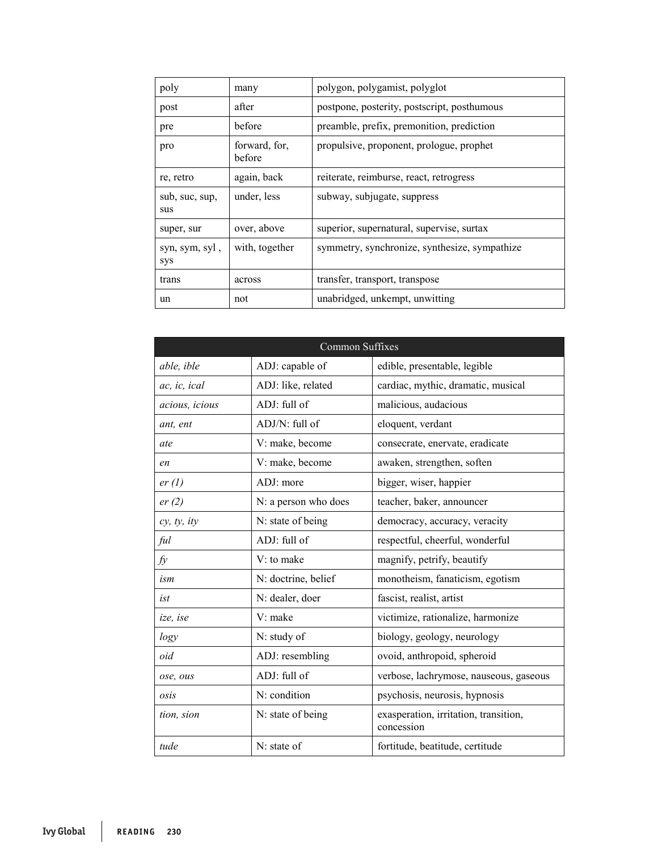| poly                  | many                    | polygon, polygamist, polyglot                 |
|-----------------------|-------------------------|-----------------------------------------------|
| post                  | after                   | postpone, posterity, postscript, posthumous   |
| pre                   | before                  | preamble, prefix, premonition, prediction     |
| pro                   | forward, for,<br>before | propulsive, proponent, prologue, prophet      |
| re, retro             | again, back             | reiterate, reimburse, react, retrogress       |
| sub, suc, sup,<br>sus | under, less             | subway, subjugate, suppress                   |
| super, sur            | over, above             | superior, supernatural, supervise, surtax     |
| syn, sym, syl,<br>sys | with, together          | symmetry, synchronize, synthesize, sympathize |
| trans                 | across                  | transfer, transport, transpose                |
| un                    | not                     | unabridged, unkempt, unwitting                |

| <b>Common Suffixes</b> |                      |                                                     |  |  |
|------------------------|----------------------|-----------------------------------------------------|--|--|
| able, ible             | ADJ: capable of      | edible, presentable, legible                        |  |  |
| ac, ic, ical           | ADJ: like, related   | cardiac, mythic, dramatic, musical                  |  |  |
| acious, icious         | ADJ: full of         | malicious, audacious                                |  |  |
| ant, ent               | ADJ/N: full of       | eloquent, verdant                                   |  |  |
| ate                    | V: make, become      | consecrate, enervate, eradicate                     |  |  |
| en                     | V: make, become      | awaken, strengthen, soften                          |  |  |
| er(l)                  | ADJ: more            | bigger, wiser, happier                              |  |  |
| er(2)                  | N: a person who does | teacher, baker, announcer                           |  |  |
| cy, ty, ity            | N: state of being    | democracy, accuracy, veracity                       |  |  |
| ful                    | ADJ: full of         | respectful, cheerful, wonderful                     |  |  |
| fy                     | V: to make           | magnify, petrify, beautify                          |  |  |
| ism                    | N: doctrine, belief  | monotheism, fanaticism, egotism                     |  |  |
| ist                    | N: dealer, doer      | fascist, realist, artist                            |  |  |
| ize, ise               | V: make              | victimize, rationalize, harmonize                   |  |  |
| logy                   | N: study of          | biology, geology, neurology                         |  |  |
| oid                    | ADJ: resembling      | ovoid, anthropoid, spheroid                         |  |  |
| ose, ous               | ADJ: full of         | verbose, lachrymose, nauseous, gaseous              |  |  |
| osis                   | N: condition         | psychosis, neurosis, hypnosis                       |  |  |
| tion, sion             | N: state of being    | exasperation, irritation, transition,<br>concession |  |  |
| tude                   | N: state of          | fortitude, beatitude, certitude                     |  |  |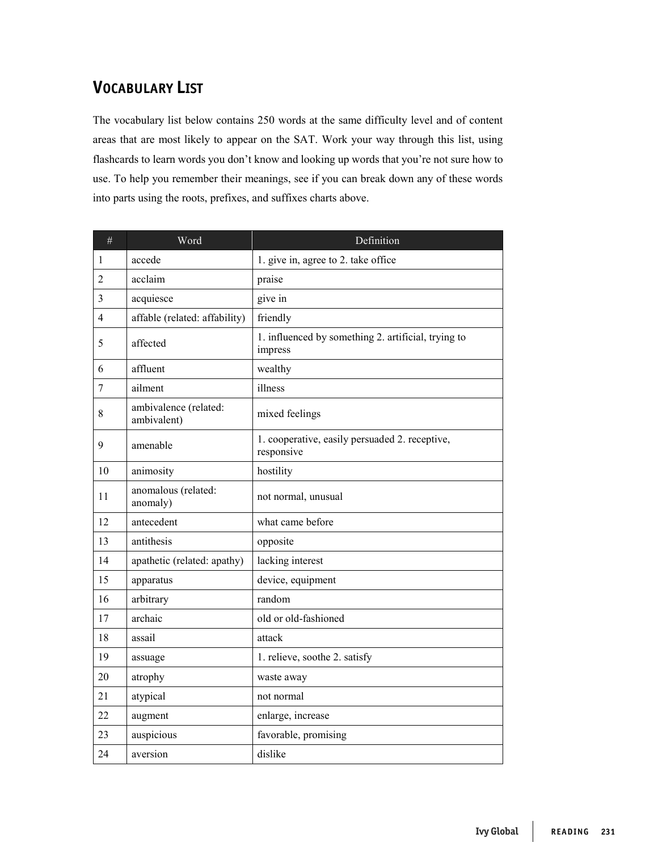## **VOCABULARY LIST**

The vocabulary list below contains 250 words at the same difficulty level and of content areas that are most likely to appear on the SAT. Work your way through this list, using flashcards to learn words you don't know and looking up words that you're not sure how to use. To help you remember their meanings, see if you can break down any of these words into parts using the roots, prefixes, and suffixes charts above.

| $\#$           | Word                                 | Definition                                                     |
|----------------|--------------------------------------|----------------------------------------------------------------|
| 1              | accede                               | 1. give in, agree to 2. take office                            |
| $\overline{2}$ | acclaim                              | praise                                                         |
| 3              | acquiesce                            | give in                                                        |
| 4              | affable (related: affability)        | friendly                                                       |
| 5              | affected                             | 1. influenced by something 2. artificial, trying to<br>impress |
| 6              | affluent                             | wealthy                                                        |
| 7              | ailment                              | illness                                                        |
| 8              | ambivalence (related:<br>ambivalent) | mixed feelings                                                 |
| 9              | amenable                             | 1. cooperative, easily persuaded 2. receptive,<br>responsive   |
| 10             | animosity                            | hostility                                                      |
| 11             | anomalous (related:<br>anomaly)      | not normal, unusual                                            |
| 12             | antecedent                           | what came before                                               |
| 13             | antithesis                           | opposite                                                       |
| 14             | apathetic (related: apathy)          | lacking interest                                               |
| 15             | apparatus                            | device, equipment                                              |
| 16             | arbitrary                            | random                                                         |
| 17             | archaic                              | old or old-fashioned                                           |
| 18             | assail                               | attack                                                         |
| 19             | assuage                              | 1. relieve, soothe 2. satisfy                                  |
| 20             | atrophy                              | waste away                                                     |
| 21             | atypical                             | not normal                                                     |
| 22             | augment                              | enlarge, increase                                              |
| 23             | auspicious                           | favorable, promising                                           |
| 24             | aversion                             | dislike                                                        |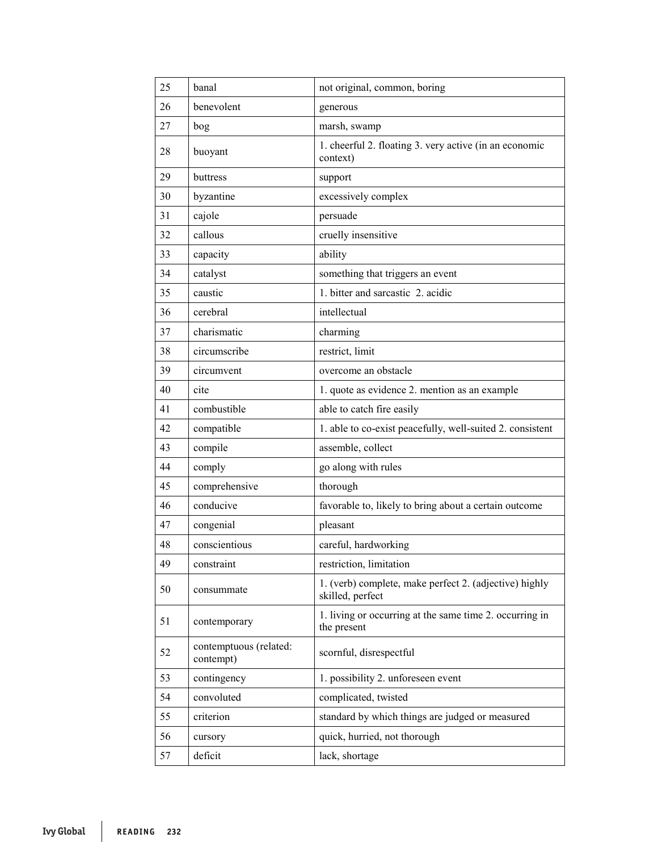| 25 | banal                               | not original, common, boring                                               |
|----|-------------------------------------|----------------------------------------------------------------------------|
| 26 | benevolent                          | generous                                                                   |
| 27 | bog                                 | marsh, swamp                                                               |
| 28 | buoyant                             | 1. cheerful 2. floating 3. very active (in an economic<br>context)         |
| 29 | buttress                            | support                                                                    |
| 30 | byzantine                           | excessively complex                                                        |
| 31 | cajole                              | persuade                                                                   |
| 32 | callous                             | cruelly insensitive                                                        |
| 33 | capacity                            | ability                                                                    |
| 34 | catalyst                            | something that triggers an event                                           |
| 35 | caustic                             | 1. bitter and sarcastic 2. acidic                                          |
| 36 | cerebral                            | intellectual                                                               |
| 37 | charismatic                         | charming                                                                   |
| 38 | circumscribe                        | restrict, limit                                                            |
| 39 | circumvent                          | overcome an obstacle                                                       |
| 40 | cite                                | 1. quote as evidence 2. mention as an example                              |
| 41 | combustible                         | able to catch fire easily                                                  |
| 42 | compatible                          | 1. able to co-exist peacefully, well-suited 2. consistent                  |
| 43 | compile                             | assemble, collect                                                          |
| 44 | comply                              | go along with rules                                                        |
| 45 | comprehensive                       | thorough                                                                   |
| 46 | conducive                           | favorable to, likely to bring about a certain outcome                      |
| 47 | congenial                           | pleasant                                                                   |
| 48 | conscientious                       | careful, hardworking                                                       |
| 49 | constraint                          | restriction, limitation                                                    |
| 50 | consummate                          | 1. (verb) complete, make perfect 2. (adjective) highly<br>skilled, perfect |
| 51 | contemporary                        | 1. living or occurring at the same time 2. occurring in<br>the present     |
| 52 | contemptuous (related:<br>contempt) | scornful, disrespectful                                                    |
| 53 | contingency                         | 1. possibility 2. unforeseen event                                         |
| 54 | convoluted                          | complicated, twisted                                                       |
| 55 | criterion                           | standard by which things are judged or measured                            |
| 56 | cursory                             | quick, hurried, not thorough                                               |
| 57 | deficit                             | lack, shortage                                                             |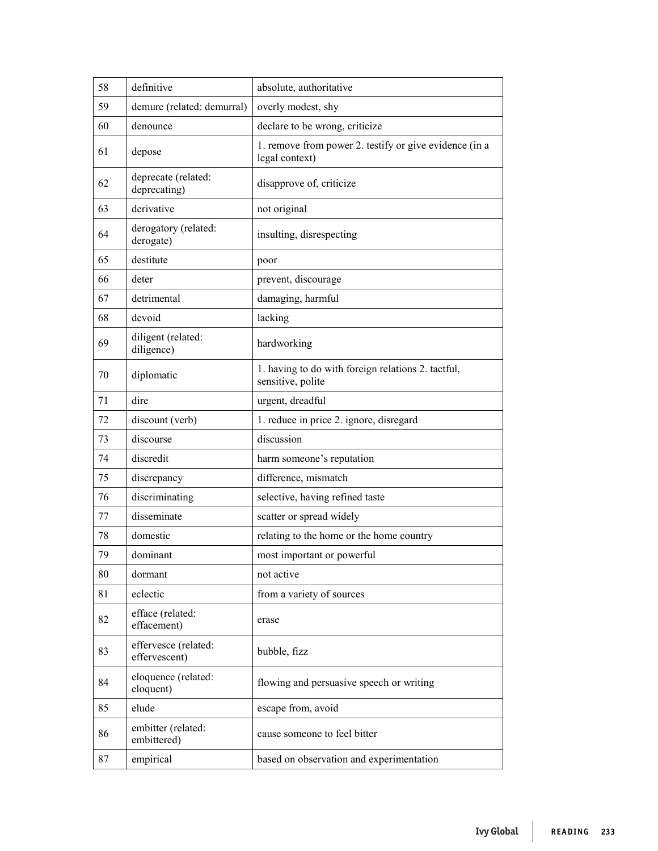| 58 | definitive                            | absolute, authoritative                                                  |
|----|---------------------------------------|--------------------------------------------------------------------------|
| 59 | demure (related: demurral)            | overly modest, shy                                                       |
| 60 | denounce                              | declare to be wrong, criticize                                           |
| 61 | depose                                | 1. remove from power 2. testify or give evidence (in a<br>legal context) |
| 62 | deprecate (related:<br>deprecating)   | disapprove of, criticize                                                 |
| 63 | derivative                            | not original                                                             |
| 64 | derogatory (related:<br>derogate)     | insulting, disrespecting                                                 |
| 65 | destitute                             | poor                                                                     |
| 66 | deter                                 | prevent, discourage                                                      |
| 67 | detrimental                           | damaging, harmful                                                        |
| 68 | devoid                                | lacking                                                                  |
| 69 | diligent (related:<br>diligence)      | hardworking                                                              |
| 70 | diplomatic                            | 1. having to do with foreign relations 2. tactful,<br>sensitive, polite  |
| 71 | dire                                  | urgent, dreadful                                                         |
| 72 | discount (verb)                       | 1. reduce in price 2. ignore, disregard                                  |
| 73 | discourse                             | discussion                                                               |
| 74 | discredit                             | harm someone's reputation                                                |
| 75 | discrepancy                           | difference, mismatch                                                     |
| 76 | discriminating                        | selective, having refined taste                                          |
| 77 | disseminate                           | scatter or spread widely                                                 |
| 78 | domestic                              | relating to the home or the home country                                 |
| 79 | dominant                              | most important or powerful                                               |
| 80 | dormant                               | not active                                                               |
| 81 | eclectic                              | from a variety of sources                                                |
| 82 | efface (related:<br>effacement)       | erase                                                                    |
| 83 | effervesce (related:<br>effervescent) | bubble, fizz                                                             |
| 84 | eloquence (related:<br>eloquent)      | flowing and persuasive speech or writing                                 |
| 85 | elude                                 | escape from, avoid                                                       |
| 86 | embitter (related:<br>embittered)     | cause someone to feel bitter                                             |
| 87 | empirical                             | based on observation and experimentation                                 |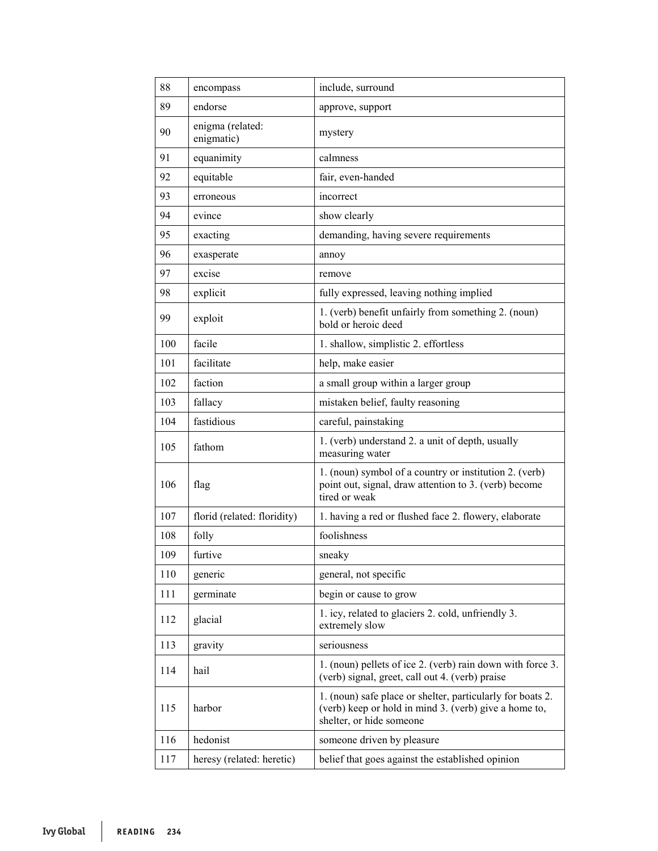| 88  | encompass                      | include, surround                                                                                                                               |
|-----|--------------------------------|-------------------------------------------------------------------------------------------------------------------------------------------------|
| 89  | endorse                        | approve, support                                                                                                                                |
| 90  | enigma (related:<br>enigmatic) | mystery                                                                                                                                         |
| 91  | equanimity                     | calmness                                                                                                                                        |
| 92  | equitable                      | fair, even-handed                                                                                                                               |
| 93  | erroneous                      | incorrect                                                                                                                                       |
| 94  | evince                         | show clearly                                                                                                                                    |
| 95  | exacting                       | demanding, having severe requirements                                                                                                           |
| 96  | exasperate                     | annoy                                                                                                                                           |
| 97  | excise                         | remove                                                                                                                                          |
| 98  | explicit                       | fully expressed, leaving nothing implied                                                                                                        |
| 99  | exploit                        | 1. (verb) benefit unfairly from something 2. (noun)<br>bold or heroic deed                                                                      |
| 100 | facile                         | 1. shallow, simplistic 2. effortless                                                                                                            |
| 101 | facilitate                     | help, make easier                                                                                                                               |
| 102 | faction                        | a small group within a larger group                                                                                                             |
| 103 | fallacy                        | mistaken belief, faulty reasoning                                                                                                               |
| 104 | fastidious                     | careful, painstaking                                                                                                                            |
| 105 | fathom                         | 1. (verb) understand 2. a unit of depth, usually<br>measuring water                                                                             |
| 106 | flag                           | 1. (noun) symbol of a country or institution 2. (verb)<br>point out, signal, draw attention to 3. (verb) become<br>tired or weak                |
| 107 | florid (related: floridity)    | 1. having a red or flushed face 2. flowery, elaborate                                                                                           |
| 108 | folly                          | foolishness                                                                                                                                     |
| 109 | furtive                        | sneaky                                                                                                                                          |
| 110 | generic                        | general, not specific                                                                                                                           |
| 111 | germinate                      | begin or cause to grow                                                                                                                          |
| 112 | glacial                        | 1. icy, related to glaciers 2. cold, unfriendly 3.<br>extremely slow                                                                            |
| 113 | gravity                        | seriousness                                                                                                                                     |
| 114 | hail                           | 1. (noun) pellets of ice 2. (verb) rain down with force 3.<br>(verb) signal, greet, call out 4. (verb) praise                                   |
| 115 | harbor                         | 1. (noun) safe place or shelter, particularly for boats 2.<br>(verb) keep or hold in mind 3. (verb) give a home to,<br>shelter, or hide someone |
| 116 | hedonist                       | someone driven by pleasure                                                                                                                      |
| 117 | heresy (related: heretic)      | belief that goes against the established opinion                                                                                                |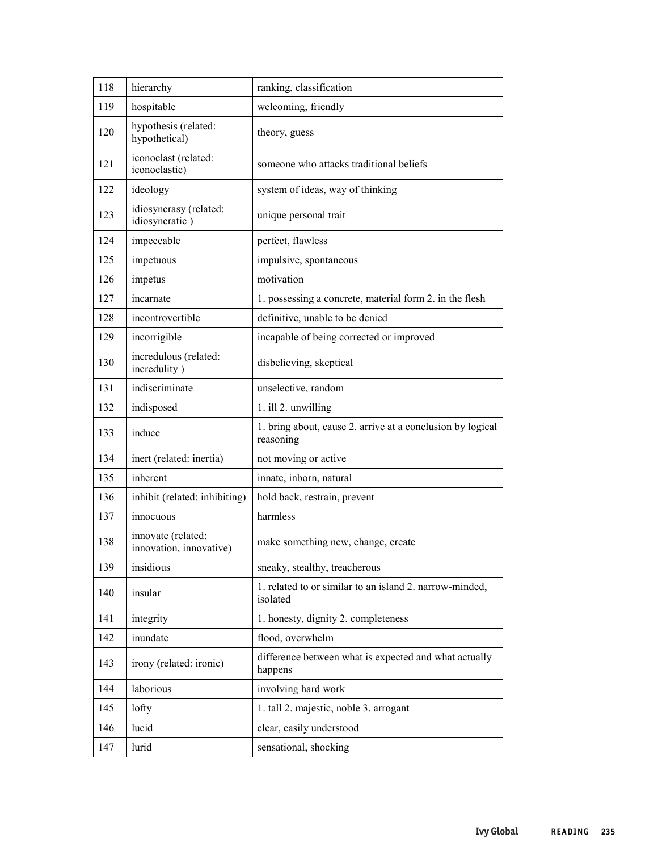| 118 | hierarchy                                     | ranking, classification                                                 |
|-----|-----------------------------------------------|-------------------------------------------------------------------------|
| 119 | hospitable                                    | welcoming, friendly                                                     |
| 120 | hypothesis (related:<br>hypothetical)         | theory, guess                                                           |
| 121 | iconoclast (related:<br>iconoclastic)         | someone who attacks traditional beliefs                                 |
| 122 | ideology                                      | system of ideas, way of thinking                                        |
| 123 | idiosyncrasy (related:<br>idiosyncratic)      | unique personal trait                                                   |
| 124 | impeccable                                    | perfect, flawless                                                       |
| 125 | impetuous                                     | impulsive, spontaneous                                                  |
| 126 | impetus                                       | motivation                                                              |
| 127 | incarnate                                     | 1. possessing a concrete, material form 2. in the flesh                 |
| 128 | incontrovertible                              | definitive, unable to be denied                                         |
| 129 | incorrigible                                  | incapable of being corrected or improved                                |
| 130 | incredulous (related:<br>incredulity)         | disbelieving, skeptical                                                 |
| 131 | indiscriminate                                | unselective, random                                                     |
| 132 | indisposed                                    | 1. ill 2. unwilling                                                     |
| 133 | induce                                        | 1. bring about, cause 2. arrive at a conclusion by logical<br>reasoning |
| 134 | inert (related: inertia)                      | not moving or active                                                    |
| 135 | inherent                                      | innate, inborn, natural                                                 |
| 136 | inhibit (related: inhibiting)                 | hold back, restrain, prevent                                            |
| 137 | innocuous                                     | harmless                                                                |
| 138 | innovate (related:<br>innovation, innovative) | make something new, change, create                                      |
| 139 | insidious                                     | sneaky, stealthy, treacherous                                           |
| 140 | insular                                       | 1. related to or similar to an island 2. narrow-minded,<br>isolated     |
| 141 | integrity                                     | 1. honesty, dignity 2. completeness                                     |
| 142 | inundate                                      | flood, overwhelm                                                        |
| 143 | irony (related: ironic)                       | difference between what is expected and what actually<br>happens        |
| 144 | laborious                                     | involving hard work                                                     |
| 145 | lofty                                         | 1. tall 2. majestic, noble 3. arrogant                                  |
| 146 | lucid                                         | clear, easily understood                                                |
| 147 | lurid                                         | sensational, shocking                                                   |
|     |                                               |                                                                         |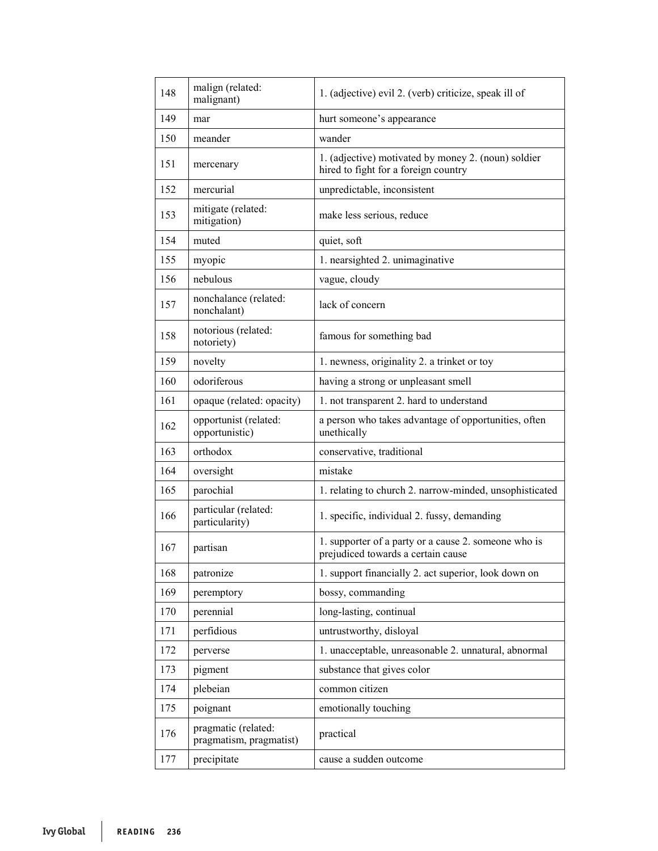| 148 | malign (related:<br>malignant)                 | 1. (adjective) evil 2. (verb) criticize, speak ill of                                       |
|-----|------------------------------------------------|---------------------------------------------------------------------------------------------|
| 149 | mar                                            | hurt someone's appearance                                                                   |
| 150 | meander                                        | wander                                                                                      |
| 151 | mercenary                                      | 1. (adjective) motivated by money 2. (noun) soldier<br>hired to fight for a foreign country |
| 152 | mercurial                                      | unpredictable, inconsistent                                                                 |
| 153 | mitigate (related:<br>mitigation)              | make less serious, reduce                                                                   |
| 154 | muted                                          | quiet, soft                                                                                 |
| 155 | myopic                                         | 1. nearsighted 2. unimaginative                                                             |
| 156 | nebulous                                       | vague, cloudy                                                                               |
| 157 | nonchalance (related:<br>nonchalant)           | lack of concern                                                                             |
| 158 | notorious (related:<br>notoriety)              | famous for something bad                                                                    |
| 159 | novelty                                        | 1. newness, originality 2. a trinket or toy                                                 |
| 160 | odoriferous                                    | having a strong or unpleasant smell                                                         |
| 161 | opaque (related: opacity)                      | 1. not transparent 2. hard to understand                                                    |
| 162 | opportunist (related:<br>opportunistic)        | a person who takes advantage of opportunities, often<br>unethically                         |
| 163 | orthodox                                       | conservative, traditional                                                                   |
| 164 | oversight                                      | mistake                                                                                     |
| 165 | parochial                                      | 1. relating to church 2. narrow-minded, unsophisticated                                     |
| 166 | particular (related:<br>particularity)         | 1. specific, individual 2. fussy, demanding                                                 |
| 167 | partisan                                       | 1. supporter of a party or a cause 2. someone who is<br>prejudiced towards a certain cause  |
| 168 | patronize                                      | 1. support financially 2. act superior, look down on                                        |
| 169 | peremptory                                     | bossy, commanding                                                                           |
| 170 | perennial                                      | long-lasting, continual                                                                     |
| 171 | perfidious                                     | untrustworthy, disloyal                                                                     |
| 172 | perverse                                       | 1. unacceptable, unreasonable 2. unnatural, abnormal                                        |
| 173 | pigment                                        | substance that gives color                                                                  |
| 174 | plebeian                                       | common citizen                                                                              |
| 175 | poignant                                       | emotionally touching                                                                        |
| 176 | pragmatic (related:<br>pragmatism, pragmatist) | practical                                                                                   |
| 177 | precipitate                                    | cause a sudden outcome                                                                      |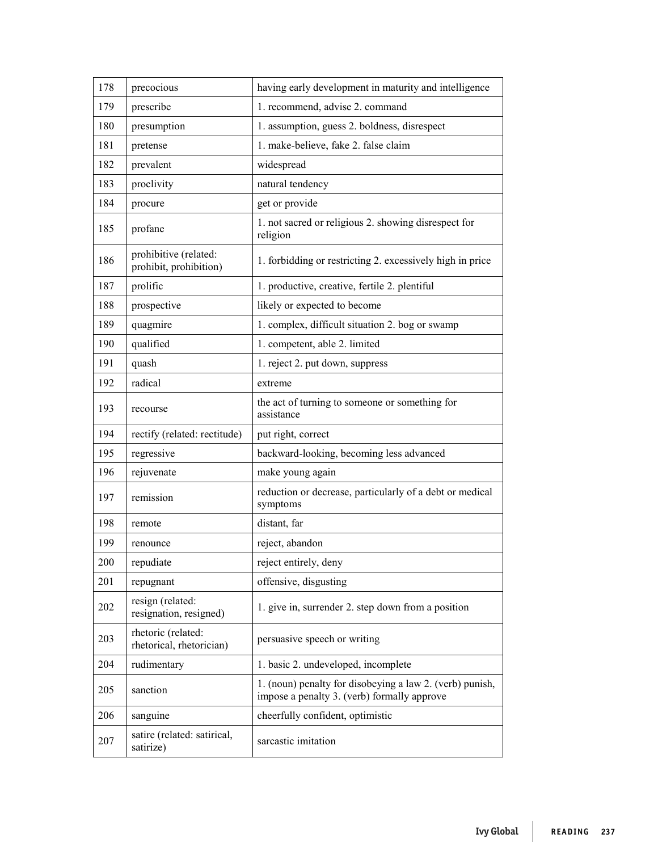| 178 | precocious                                      | having early development in maturity and intelligence                                                   |
|-----|-------------------------------------------------|---------------------------------------------------------------------------------------------------------|
| 179 | prescribe                                       | 1. recommend, advise 2. command                                                                         |
| 180 | presumption                                     | 1. assumption, guess 2. boldness, disrespect                                                            |
| 181 | pretense                                        | 1. make-believe, fake 2. false claim                                                                    |
| 182 | prevalent                                       | widespread                                                                                              |
| 183 | proclivity                                      | natural tendency                                                                                        |
| 184 | procure                                         | get or provide                                                                                          |
| 185 | profane                                         | 1. not sacred or religious 2. showing disrespect for<br>religion                                        |
| 186 | prohibitive (related:<br>prohibit, prohibition) | 1. forbidding or restricting 2. excessively high in price                                               |
| 187 | prolific                                        | 1. productive, creative, fertile 2. plentiful                                                           |
| 188 | prospective                                     | likely or expected to become                                                                            |
| 189 | quagmire                                        | 1. complex, difficult situation 2. bog or swamp                                                         |
| 190 | qualified                                       | 1. competent, able 2. limited                                                                           |
| 191 | quash                                           | 1. reject 2. put down, suppress                                                                         |
| 192 | radical                                         | extreme                                                                                                 |
| 193 | recourse                                        | the act of turning to someone or something for<br>assistance                                            |
| 194 | rectify (related: rectitude)                    | put right, correct                                                                                      |
| 195 | regressive                                      | backward-looking, becoming less advanced                                                                |
| 196 | rejuvenate                                      | make young again                                                                                        |
| 197 | remission                                       | reduction or decrease, particularly of a debt or medical<br>symptoms                                    |
| 198 | remote                                          | distant, far                                                                                            |
| 199 | renounce                                        | reject, abandon                                                                                         |
| 200 | repudiate                                       | reject entirely, deny                                                                                   |
| 201 | repugnant                                       | offensive, disgusting                                                                                   |
| 202 | resign (related:<br>resignation, resigned)      | 1. give in, surrender 2. step down from a position                                                      |
| 203 | rhetoric (related:<br>rhetorical, rhetorician)  | persuasive speech or writing                                                                            |
| 204 | rudimentary                                     | 1. basic 2. undeveloped, incomplete                                                                     |
| 205 | sanction                                        | 1. (noun) penalty for disobeying a law 2. (verb) punish,<br>impose a penalty 3. (verb) formally approve |
| 206 | sanguine                                        | cheerfully confident, optimistic                                                                        |
| 207 | satire (related: satirical,<br>satirize)        | sarcastic imitation                                                                                     |
|     |                                                 |                                                                                                         |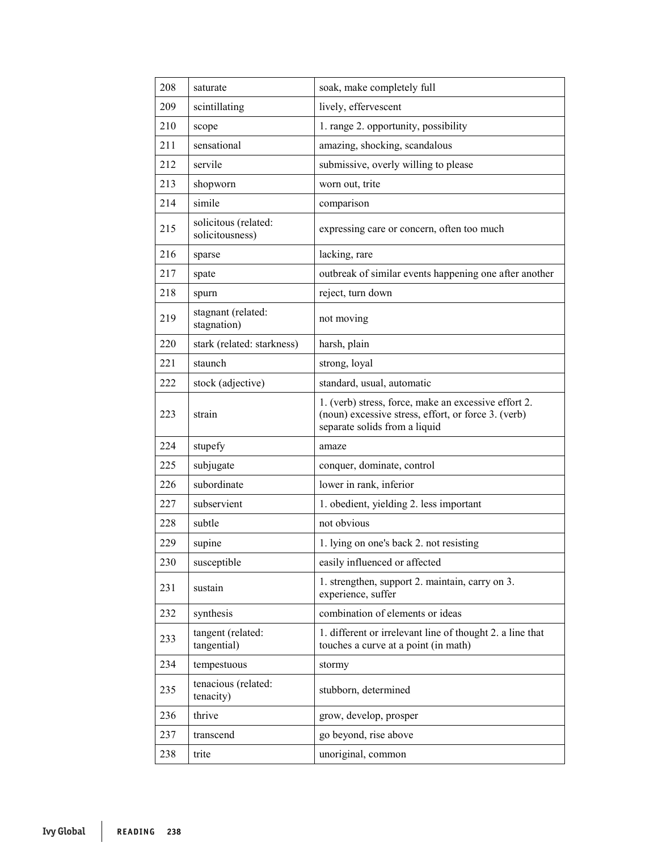| 208 | saturate                                | soak, make completely full                                                                                                                   |
|-----|-----------------------------------------|----------------------------------------------------------------------------------------------------------------------------------------------|
| 209 | scintillating                           | lively, effervescent                                                                                                                         |
| 210 | scope                                   | 1. range 2. opportunity, possibility                                                                                                         |
| 211 | sensational                             | amazing, shocking, scandalous                                                                                                                |
| 212 | servile                                 | submissive, overly willing to please                                                                                                         |
| 213 | shopworn                                | worn out, trite                                                                                                                              |
| 214 | simile                                  | comparison                                                                                                                                   |
| 215 | solicitous (related:<br>solicitousness) | expressing care or concern, often too much                                                                                                   |
| 216 | sparse                                  | lacking, rare                                                                                                                                |
| 217 | spate                                   | outbreak of similar events happening one after another                                                                                       |
| 218 | spurn                                   | reject, turn down                                                                                                                            |
| 219 | stagnant (related:<br>stagnation)       | not moving                                                                                                                                   |
| 220 | stark (related: starkness)              | harsh, plain                                                                                                                                 |
| 221 | staunch                                 | strong, loyal                                                                                                                                |
| 222 | stock (adjective)                       | standard, usual, automatic                                                                                                                   |
| 223 | strain                                  | 1. (verb) stress, force, make an excessive effort 2.<br>(noun) excessive stress, effort, or force 3. (verb)<br>separate solids from a liquid |
| 224 | stupefy                                 | amaze                                                                                                                                        |
| 225 | subjugate                               | conquer, dominate, control                                                                                                                   |
| 226 | subordinate                             | lower in rank, inferior                                                                                                                      |
| 227 | subservient                             | 1. obedient, yielding 2. less important                                                                                                      |
| 228 | subtle                                  | not obvious                                                                                                                                  |
| 229 | supine                                  | 1. lying on one's back 2. not resisting                                                                                                      |
| 230 | susceptible                             | easily influenced or affected                                                                                                                |
| 231 | sustain                                 | 1. strengthen, support 2. maintain, carry on 3.<br>experience, suffer                                                                        |
| 232 | synthesis                               | combination of elements or ideas                                                                                                             |
| 233 | tangent (related:<br>tangential)        | 1. different or irrelevant line of thought 2. a line that<br>touches a curve at a point (in math)                                            |
| 234 | tempestuous                             | stormy                                                                                                                                       |
| 235 | tenacious (related:<br>tenacity)        | stubborn, determined                                                                                                                         |
| 236 | thrive                                  | grow, develop, prosper                                                                                                                       |
| 237 | transcend                               | go beyond, rise above                                                                                                                        |
| 238 | trite                                   | unoriginal, common                                                                                                                           |